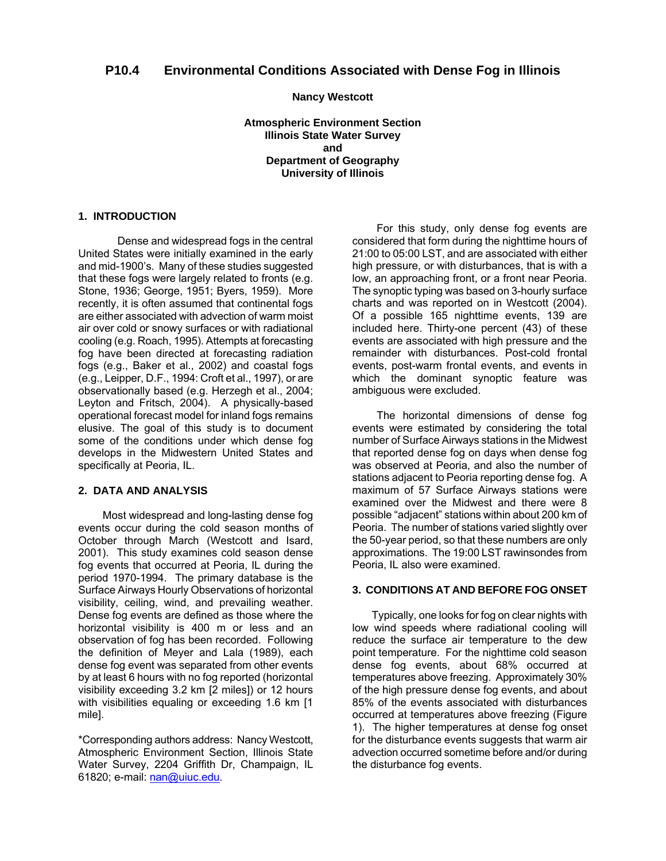**Nancy Westcott** 

**Atmospheric Environment Section Illinois State Water Survey and Department of Geography University of Illinois**

# **1. INTRODUCTION**

Dense and widespread fogs in the central United States were initially examined in the early and mid-1900's. Many of these studies suggested that these fogs were largely related to fronts (e.g. Stone, 1936; George, 1951; Byers, 1959). More recently, it is often assumed that continental fogs are either associated with advection of warm moist air over cold or snowy surfaces or with radiational cooling (e.g. Roach, 1995). Attempts at forecasting fog have been directed at forecasting radiation fogs (e.g., Baker et al., 2002) and coastal fogs (e.g., Leipper, D.F., 1994: Croft et al., 1997), or are observationally based (e.g. Herzegh et al., 2004; Leyton and Fritsch, 2004). A physically-based operational forecast model for inland fogs remains elusive. The goal of this study is to document some of the conditions under which dense fog develops in the Midwestern United States and specifically at Peoria, IL.

## **2. DATA AND ANALYSIS**

Most widespread and long-lasting dense fog events occur during the cold season months of October through March (Westcott and Isard, 2001). This study examines cold season dense fog events that occurred at Peoria, IL during the period 1970-1994. The primary database is the Surface Airways Hourly Observations of horizontal visibility, ceiling, wind, and prevailing weather. Dense fog events are defined as those where the horizontal visibility is 400 m or less and an observation of fog has been recorded. Following the definition of Meyer and Lala (1989), each dense fog event was separated from other events by at least 6 hours with no fog reported (horizontal visibility exceeding 3.2 km [2 miles]) or 12 hours with visibilities equaling or exceeding 1.6 km [1] mile].

\*Corresponding authors address: Nancy Westcott, Atmospheric Environment Section, Illinois State Water Survey, 2204 Griffith Dr, Champaign, IL 61820; e-mail: [nan@uiuc.edu.](mailto:nan@uiuc.edu)

For this study, only dense fog events are considered that form during the nighttime hours of 21:00 to 05:00 LST, and are associated with either high pressure, or with disturbances, that is with a low, an approaching front, or a front near Peoria. The synoptic typing was based on 3-hourly surface charts and was reported on in Westcott (2004). Of a possible 165 nighttime events, 139 are included here. Thirty-one percent (43) of these events are associated with high pressure and the remainder with disturbances. Post-cold frontal events, post-warm frontal events, and events in which the dominant synoptic feature was ambiguous were excluded.

The horizontal dimensions of dense fog events were estimated by considering the total number of Surface Airways stations in the Midwest that reported dense fog on days when dense fog was observed at Peoria, and also the number of stations adjacent to Peoria reporting dense fog. A maximum of 57 Surface Airways stations were examined over the Midwest and there were 8 possible "adjacent" stations within about 200 km of Peoria. The number of stations varied slightly over the 50-year period, so that these numbers are only approximations. The 19:00 LST rawinsondes from Peoria, IL also were examined.

## **3. CONDITIONS AT AND BEFORE FOG ONSET**

Typically, one looks for fog on clear nights with low wind speeds where radiational cooling will reduce the surface air temperature to the dew point temperature. For the nighttime cold season dense fog events, about 68% occurred at temperatures above freezing. Approximately 30% of the high pressure dense fog events, and about 85% of the events associated with disturbances occurred at temperatures above freezing (Figure 1). The higher temperatures at dense fog onset for the disturbance events suggests that warm air advection occurred sometime before and/or during the disturbance fog events.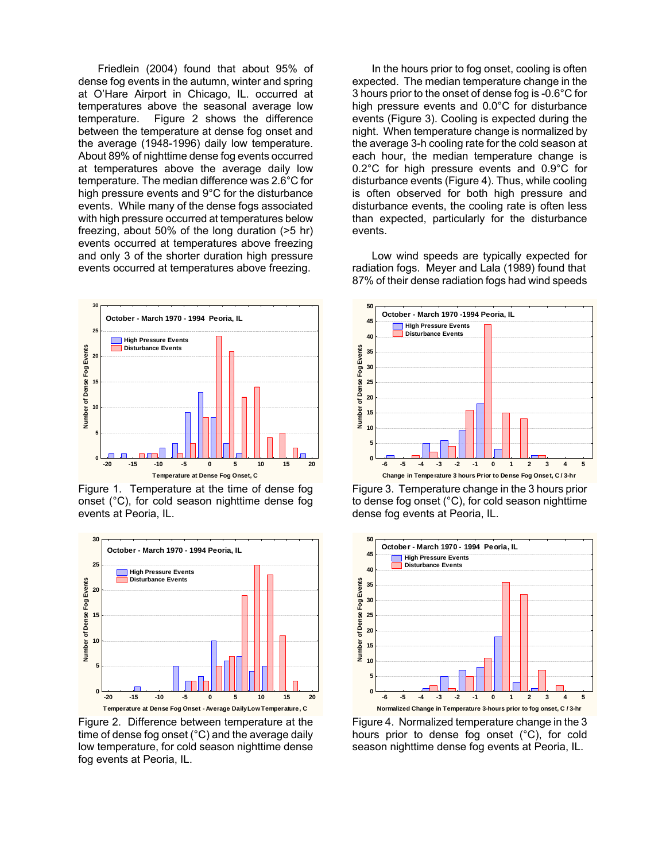Friedlein (2004) found that about 95% of dense fog events in the autumn, winter and spring at O'Hare Airport in Chicago, IL. occurred at temperatures above the seasonal average low temperature. Figure 2 shows the difference between the temperature at dense fog onset and the average (1948-1996) daily low temperature. About 89% of nighttime dense fog events occurred at temperatures above the average daily low temperature. The median difference was 2.6°C for high pressure events and 9°C for the disturbance events. While many of the dense fogs associated with high pressure occurred at temperatures below freezing, about 50% of the long duration (>5 hr) events occurred at temperatures above freezing and only 3 of the shorter duration high pressure events occurred at temperatures above freezing.



Figure 1. Temperature at the time of dense fog onset (°C), for cold season nighttime dense fog events at Peoria, IL.



Figure 2. Difference between temperature at the time of dense fog onset (°C) and the average daily low temperature, for cold season nighttime dense fog events at Peoria, IL.

In the hours prior to fog onset, cooling is often expected. The median temperature change in the 3 hours prior to the onset of dense fog is -0.6°C for high pressure events and 0.0°C for disturbance events (Figure 3). Cooling is expected during the night. When temperature change is normalized by the average 3-h cooling rate for the cold season at each hour, the median temperature change is 0.2°C for high pressure events and 0.9°C for disturbance events (Figure 4). Thus, while cooling is often observed for both high pressure and disturbance events, the cooling rate is often less than expected, particularly for the disturbance events.

Low wind speeds are typically expected for radiation fogs. Meyer and Lala (1989) found that 87% of their dense radiation fogs had wind speeds



Figure 3. Temperature change in the 3 hours prior to dense fog onset (°C), for cold season nighttime dense fog events at Peoria, IL.



Figure 4. Normalized temperature change in the 3 hours prior to dense fog onset (°C), for cold season nighttime dense fog events at Peoria, IL.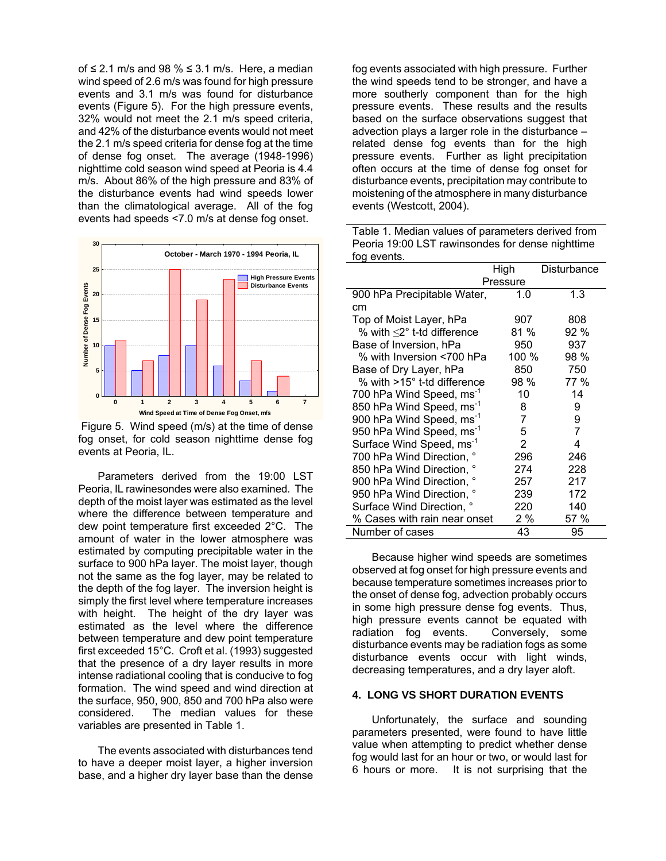of  $\leq$  2.1 m/s and 98 %  $\leq$  3.1 m/s. Here, a median wind speed of 2.6 m/s was found for high pressure events and 3.1 m/s was found for disturbance events (Figure 5). For the high pressure events, 32% would not meet the 2.1 m/s speed criteria, and 42% of the disturbance events would not meet the 2.1 m/s speed criteria for dense fog at the time of dense fog onset. The average (1948-1996) nighttime cold season wind speed at Peoria is 4.4 m/s. About 86% of the high pressure and 83% of the disturbance events had wind speeds lower than the climatological average. All of the fog events had speeds <7.0 m/s at dense fog onset.



Figure 5. Wind speed (m/s) at the time of dense fog onset, for cold season nighttime dense fog events at Peoria, IL.

Parameters derived from the 19:00 LST Peoria, IL rawinesondes were also examined. The depth of the moist layer was estimated as the level where the difference between temperature and dew point temperature first exceeded 2°C. The amount of water in the lower atmosphere was estimated by computing precipitable water in the surface to 900 hPa layer. The moist layer, though not the same as the fog layer, may be related to the depth of the fog layer. The inversion height is simply the first level where temperature increases with height. The height of the dry layer was estimated as the level where the difference between temperature and dew point temperature first exceeded 15°C. Croft et al. (1993) suggested that the presence of a dry layer results in more intense radiational cooling that is conducive to fog formation. The wind speed and wind direction at the surface, 950, 900, 850 and 700 hPa also were considered. The median values for these variables are presented in Table 1.

The events associated with disturbances tend to have a deeper moist layer, a higher inversion base, and a higher dry layer base than the dense

fog events associated with high pressure. Further the wind speeds tend to be stronger, and have a more southerly component than for the high pressure events. These results and the results based on the surface observations suggest that advection plays a larger role in the disturbance – related dense fog events than for the high pressure events. Further as light precipitation often occurs at the time of dense fog onset for disturbance events, precipitation may contribute to moistening of the atmosphere in many disturbance events (Westcott, 2004).

Table 1. Median values of parameters derived from Peoria 19:00 LST rawinsondes for dense nighttime fog events.

|                                      | High           | Disturbance |  |
|--------------------------------------|----------------|-------------|--|
|                                      | Pressure       |             |  |
| 900 hPa Precipitable Water,          | 1.0            | 1.3         |  |
| cm                                   |                |             |  |
| Top of Moist Layer, hPa              | 907            | 808         |  |
| % with $\leq$ t-td difference        | 81 %           | 92%         |  |
| Base of Inversion, hPa               | 950            | 937         |  |
| % with Inversion <700 hPa            | 100 %          | 98%         |  |
| Base of Dry Layer, hPa               | 850            | 750         |  |
| % with $>15^\circ$ t-td difference   | 98 %           | 77%         |  |
| 700 hPa Wind Speed, ms <sup>-1</sup> | 10             | 14          |  |
| 850 hPa Wind Speed, ms <sup>-1</sup> | 8              | 9           |  |
| 900 hPa Wind Speed, ms <sup>-1</sup> | 7              | 9           |  |
| 950 hPa Wind Speed, ms <sup>-1</sup> | 5              | 7           |  |
| Surface Wind Speed, ms <sup>-1</sup> | $\overline{2}$ | 4           |  |
| 700 hPa Wind Direction, °            | 296            | 246         |  |
| 850 hPa Wind Direction,              | 274            | 228         |  |
| 900 hPa Wind Direction,              | 257            | 217         |  |
| 950 hPa Wind Direction,              | 239            | 172         |  |
| Surface Wind Direction, °            | 220            | 140         |  |
| % Cases with rain near onset         | 2 %            | 57 %        |  |
| Number of cases                      | 43             | 95          |  |

Because higher wind speeds are sometimes observed at fog onset for high pressure events and because temperature sometimes increases prior to the onset of dense fog, advection probably occurs in some high pressure dense fog events. Thus, high pressure events cannot be equated with radiation fog events. Conversely, some disturbance events may be radiation fogs as some disturbance events occur with light winds, decreasing temperatures, and a dry layer aloft.

## **4. LONG VS SHORT DURATION EVENTS**

Unfortunately, the surface and sounding parameters presented, were found to have little value when attempting to predict whether dense fog would last for an hour or two, or would last for 6 hours or more. It is not surprising that the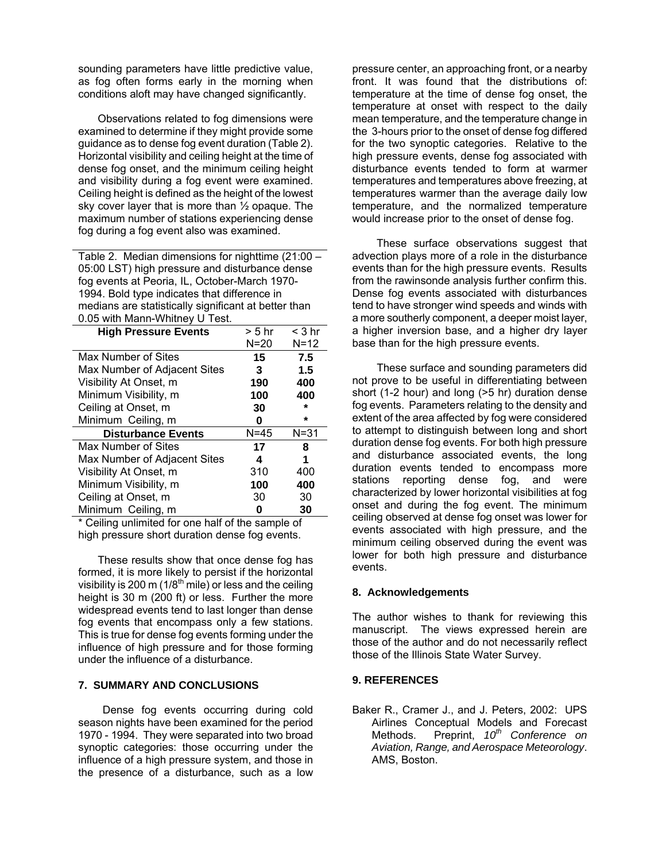sounding parameters have little predictive value, as fog often forms early in the morning when conditions aloft may have changed significantly.

 Observations related to fog dimensions were examined to determine if they might provide some guidance as to dense fog event duration (Table 2). Horizontal visibility and ceiling height at the time of dense fog onset, and the minimum ceiling height and visibility during a fog event were examined. Ceiling height is defined as the height of the lowest sky cover layer that is more than ½ opaque. The maximum number of stations experiencing dense fog during a fog event also was examined.

Table 2. Median dimensions for nighttime (21:00 – 05:00 LST) high pressure and disturbance dense fog events at Peoria, IL, October-March 1970- 1994. Bold type indicates that difference in medians are statistically significant at better than 0.05 with Mann-Whitney U Test.

| <b>High Pressure Events</b>  | $> 5$ hr | $<$ 3 hr |
|------------------------------|----------|----------|
|                              | $N = 20$ | $N = 12$ |
| Max Number of Sites          | 15       | 7.5      |
| Max Number of Adjacent Sites | 3        | 1.5      |
| Visibility At Onset, m       | 190      | 400      |
| Minimum Visibility, m        | 100      | 400      |
| Ceiling at Onset, m          | 30       | $^\star$ |
| Minimum Ceiling, m           | 0        | $\star$  |
| <b>Disturbance Events</b>    | $N = 45$ | $N = 31$ |
| Max Number of Sites          | 17       | 8        |
| Max Number of Adjacent Sites | 4        | 1        |
| Visibility At Onset, m       | 310      | 400      |
| Minimum Visibility, m        | 100      | 400      |
| Ceiling at Onset, m          | 30       | 30       |
| Minimum Ceiling, m           | 0        | 30       |
|                              |          |          |

\* Ceiling unlimited for one half of the sample of high pressure short duration dense fog events.

 These results show that once dense fog has formed, it is more likely to persist if the horizontal visibility is 200 m ( $1/8^{th}$  mile) or less and the ceiling height is 30 m (200 ft) or less. Further the more widespread events tend to last longer than dense fog events that encompass only a few stations. This is true for dense fog events forming under the influence of high pressure and for those forming under the influence of a disturbance.

#### **7. SUMMARY AND CONCLUSIONS**

Dense fog events occurring during cold season nights have been examined for the period 1970 - 1994. They were separated into two broad synoptic categories: those occurring under the influence of a high pressure system, and those in the presence of a disturbance, such as a low

pressure center, an approaching front, or a nearby front. It was found that the distributions of: temperature at the time of dense fog onset, the temperature at onset with respect to the daily mean temperature, and the temperature change in the 3-hours prior to the onset of dense fog differed for the two synoptic categories. Relative to the high pressure events, dense fog associated with disturbance events tended to form at warmer temperatures and temperatures above freezing, at temperatures warmer than the average daily low temperature, and the normalized temperature would increase prior to the onset of dense fog.

 These surface observations suggest that advection plays more of a role in the disturbance events than for the high pressure events. Results from the rawinsonde analysis further confirm this. Dense fog events associated with disturbances tend to have stronger wind speeds and winds with a more southerly component, a deeper moist layer, a higher inversion base, and a higher dry layer base than for the high pressure events.

 These surface and sounding parameters did not prove to be useful in differentiating between short (1-2 hour) and long (>5 hr) duration dense fog events. Parameters relating to the density and extent of the area affected by fog were considered to attempt to distinguish between long and short duration dense fog events. For both high pressure and disturbance associated events, the long duration events tended to encompass more stations reporting dense fog, and were characterized by lower horizontal visibilities at fog onset and during the fog event. The minimum ceiling observed at dense fog onset was lower for events associated with high pressure, and the minimum ceiling observed during the event was lower for both high pressure and disturbance events.

#### **8. Acknowledgements**

The author wishes to thank for reviewing this manuscript. The views expressed herein are those of the author and do not necessarily reflect those of the Illinois State Water Survey.

## **9. REFERENCES**

Baker R., Cramer J., and J. Peters, 2002: UPS Airlines Conceptual Models and Forecast Methods. Preprint, 10<sup>th</sup> Conference on *Aviation, Range, and Aerospace Meteorology*. AMS, Boston.